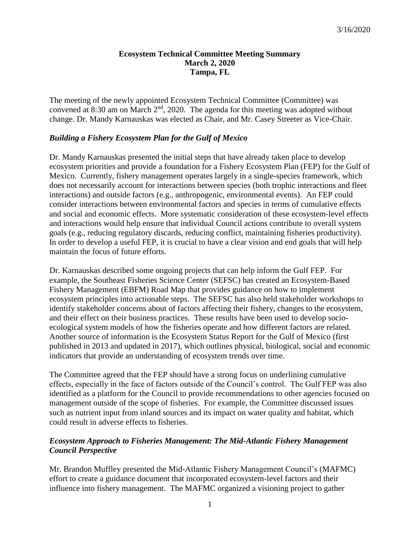#### **Ecosystem Technical Committee Meeting Summary March 2, 2020 Tampa, FL**

The meeting of the newly appointed Ecosystem Technical Committee (Committee) was convened at 8:30 am on March  $2<sup>nd</sup>$ , 2020. The agenda for this meeting was adopted without change. Dr. Mandy Karnauskas was elected as Chair, and Mr. Casey Streeter as Vice-Chair.

### *Building a Fishery Ecosystem Plan for the Gulf of Mexico*

Dr. Mandy Karnauskas presented the initial steps that have already taken place to develop ecosystem priorities and provide a foundation for a Fishery Ecosystem Plan (FEP) for the Gulf of Mexico. Currently, fishery management operates largely in a single-species framework, which does not necessarily account for interactions between species (both trophic interactions and fleet interactions) and outside factors (e.g., anthropogenic, environmental events). An FEP could consider interactions between environmental factors and species in terms of cumulative effects and social and economic effects. More systematic consideration of these ecosystem-level effects and interactions would help ensure that individual Council actions contribute to overall system goals (e.g., reducing regulatory discards, reducing conflict, maintaining fisheries productivity). In order to develop a useful FEP, it is crucial to have a clear vision and end goals that will help maintain the focus of future efforts.

Dr. Karnauskas described some ongoing projects that can help inform the Gulf FEP. For example, the Southeast Fisheries Science Center (SEFSC) has created an Ecosystem-Based Fishery Management (EBFM) Road Map that provides guidance on how to implement ecosystem principles into actionable steps. The SEFSC has also held stakeholder workshops to identify stakeholder concerns about of factors affecting their fishery, changes to the ecosystem, and their effect on their business practices. These results have been used to develop socioecological system models of how the fisheries operate and how different factors are related. Another source of information is the Ecosystem Status Report for the Gulf of Mexico (first published in 2013 and updated in 2017), which outlines physical, biological, social and economic indicators that provide an understanding of ecosystem trends over time.

The Committee agreed that the FEP should have a strong focus on underlining cumulative effects, especially in the face of factors outside of the Council's control. The Gulf FEP was also identified as a platform for the Council to provide recommendations to other agencies focused on management outside of the scope of fisheries. For example, the Committee discussed issues such as nutrient input from inland sources and its impact on water quality and habitat, which could result in adverse effects to fisheries.

### *Ecosystem Approach to Fisheries Management: The Mid-Atlantic Fishery Management Council Perspective*

Mr. Brandon Muffley presented the Mid-Atlantic Fishery Management Council's (MAFMC) effort to create a guidance document that incorporated ecosystem-level factors and their influence into fishery management. The MAFMC organized a visioning project to gather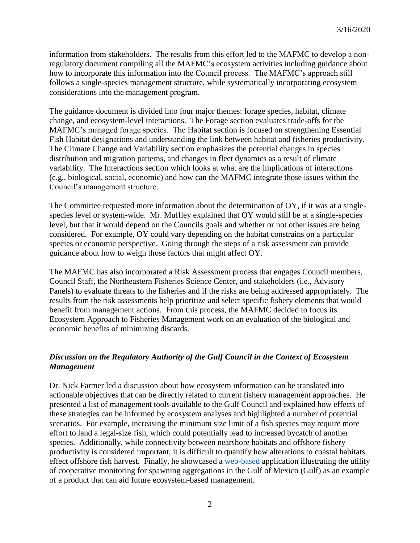information from stakeholders. The results from this effort led to the MAFMC to develop a nonregulatory document compiling all the MAFMC's ecosystem activities including guidance about how to incorporate this information into the Council process. The MAFMC's approach still follows a single-species management structure, while systematically incorporating ecosystem considerations into the management program.

The guidance document is divided into four major themes: forage species, habitat, climate change, and ecosystem-level interactions. The Forage section evaluates trade-offs for the MAFMC's managed forage species. The Habitat section is focused on strengthening Essential Fish Habitat designations and understanding the link between habitat and fisheries productivity. The Climate Change and Variability section emphasizes the potential changes in species distribution and migration patterns, and changes in fleet dynamics as a result of climate variability. The Interactions section which looks at what are the implications of interactions (e.g., biological, social, economic) and how can the MAFMC integrate those issues within the Council's management structure.

The Committee requested more information about the determination of OY, if it was at a singlespecies level or system-wide. Mr. Muffley explained that OY would still be at a single-species level, but that it would depend on the Councils goals and whether or not other issues are being considered. For example, OY could vary depending on the habitat constrains on a particular species or economic perspective. Going through the steps of a risk assessment can provide guidance about how to weigh those factors that might affect OY.

The MAFMC has also incorporated a Risk Assessment process that engages Council members, Council Staff, the Northeastern Fisheries Science Center, and stakeholders (i.e., Advisory Panels) to evaluate threats to the fisheries and if the risks are being addressed appropriately. The results from the risk assessments help prioritize and select specific fishery elements that would benefit from management actions. From this process, the MAFMC decided to focus its Ecosystem Approach to Fisheries Management work on an evaluation of the biological and economic benefits of minimizing discards.

## *Discussion on the Regulatory Authority of the Gulf Council in the Context of Ecosystem Management*

Dr. Nick Farmer led a discussion about how ecosystem information can be translated into actionable objectives that can be directly related to current fishery management approaches. He presented a list of management tools available to the Gulf Council and explained how effects of these strategies can be informed by ecosystem analyses and highlighted a number of potential scenarios. For example, increasing the minimum size limit of a fish species may require more effort to land a legal-size fish, which could potentially lead to increased bycatch of another species. Additionally, while connectivity between nearshore habitats and offshore fishery productivity is considered important, it is difficult to quantify how alterations to coastal habitats effect offshore fish harvest. Finally, he showcased a [web-based](https://geo.gcoos.org/restore/) application illustrating the utility of cooperative monitoring for spawning aggregations in the Gulf of Mexico (Gulf) as an example of a product that can aid future ecosystem-based management.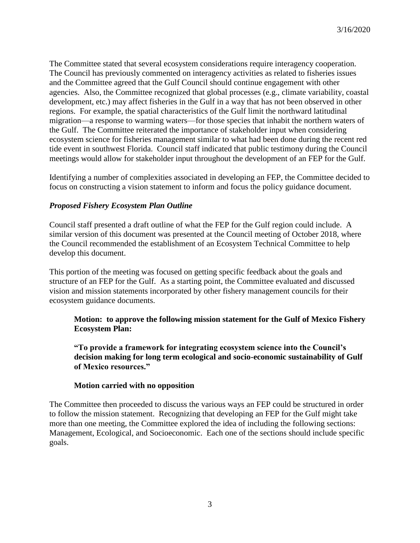The Committee stated that several ecosystem considerations require interagency cooperation. The Council has previously commented on interagency activities as related to fisheries issues and the Committee agreed that the Gulf Council should continue engagement with other agencies. Also, the Committee recognized that global processes (e.g., climate variability, coastal development, etc.) may affect fisheries in the Gulf in a way that has not been observed in other regions. For example, the spatial characteristics of the Gulf limit the northward latitudinal migration—a response to warming waters—for those species that inhabit the northern waters of the Gulf. The Committee reiterated the importance of stakeholder input when considering ecosystem science for fisheries management similar to what had been done during the recent red tide event in southwest Florida. Council staff indicated that public testimony during the Council meetings would allow for stakeholder input throughout the development of an FEP for the Gulf.

Identifying a number of complexities associated in developing an FEP, the Committee decided to focus on constructing a vision statement to inform and focus the policy guidance document.

### *Proposed Fishery Ecosystem Plan Outline*

Council staff presented a draft outline of what the FEP for the Gulf region could include. A similar version of this document was presented at the Council meeting of October 2018, where the Council recommended the establishment of an Ecosystem Technical Committee to help develop this document.

This portion of the meeting was focused on getting specific feedback about the goals and structure of an FEP for the Gulf. As a starting point, the Committee evaluated and discussed vision and mission statements incorporated by other fishery management councils for their ecosystem guidance documents.

**Motion: to approve the following mission statement for the Gulf of Mexico Fishery Ecosystem Plan:**

**"To provide a framework for integrating ecosystem science into the Council's decision making for long term ecological and socio-economic sustainability of Gulf of Mexico resources."**

#### **Motion carried with no opposition**

The Committee then proceeded to discuss the various ways an FEP could be structured in order to follow the mission statement. Recognizing that developing an FEP for the Gulf might take more than one meeting, the Committee explored the idea of including the following sections: Management, Ecological, and Socioeconomic. Each one of the sections should include specific goals.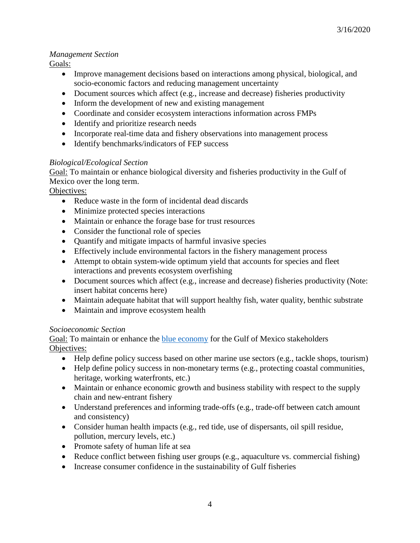# *Management Section*

Goals:

- Improve management decisions based on interactions among physical, biological, and socio-economic factors and reducing management uncertainty
- Document sources which affect (e.g., increase and decrease) fisheries productivity
- Inform the development of new and existing management
- Coordinate and consider ecosystem interactions information across FMPs
- Identify and prioritize research needs
- Incorporate real-time data and fishery observations into management process
- Identify benchmarks/indicators of FEP success

## *Biological/Ecological Section*

Goal: To maintain or enhance biological diversity and fisheries productivity in the Gulf of Mexico over the long term.

Objectives:

- Reduce waste in the form of incidental dead discards
- Minimize protected species interactions
- Maintain or enhance the forage base for trust resources
- Consider the functional role of species
- Quantify and mitigate impacts of harmful invasive species
- Effectively include environmental factors in the fishery management process
- Attempt to obtain system-wide optimum yield that accounts for species and fleet interactions and prevents ecosystem overfishing
- Document sources which affect (e.g., increase and decrease) fisheries productivity (Note: insert habitat concerns here)
- Maintain adequate habitat that will support healthy fish, water quality, benthic substrate
- Maintain and improve ecosystem health

## *Socioeconomic Section*

Goal: To maintain or enhance the [blue economy](https://www.fisheries.noaa.gov/leadership-message/blue-economy-initiative-means-seafood-future) for the Gulf of Mexico stakeholders Objectives:

- Help define policy success based on other marine use sectors (e.g., tackle shops, tourism)
- Help define policy success in non-monetary terms (e.g., protecting coastal communities, heritage, working waterfronts, etc.)
- Maintain or enhance economic growth and business stability with respect to the supply chain and new-entrant fishery
- Understand preferences and informing trade-offs (e.g., trade-off between catch amount and consistency)
- Consider human health impacts (e.g., red tide, use of dispersants, oil spill residue, pollution, mercury levels, etc.)
- Promote safety of human life at sea
- Reduce conflict between fishing user groups (e.g., aquaculture vs. commercial fishing)
- Increase consumer confidence in the sustainability of Gulf fisheries